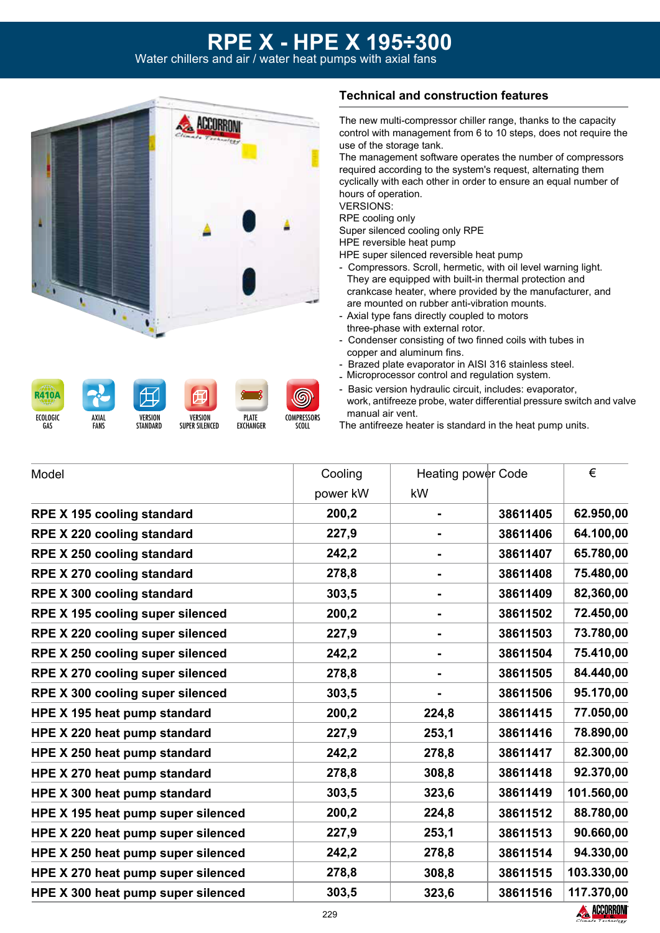# **RPE X - HPE X 195÷300**

Water chillers and air / water heat pumps with axial fans

**PLATE EXCHANGER** 

**VERSION** SUPER SILENCED **COMPRESSORS** SCOLL



ECOLOGIC GAS

**R410A** 

AXIAL **FANS** 

VERSION **STANDARD** 

#### **Technical and construction features**

The new multi-compressor chiller range, thanks to the capacity control with management from 6 to 10 steps, does not require the use of the storage tank.

The management software operates the number of compressors required according to the system's request, alternating them cyclically with each other in order to ensure an equal number of hours of operation. VERSIONS:

RPE cooling only

Super silenced cooling only RPE

HPE reversible heat pump

HPE super silenced reversible heat pump

- Compressors. Scroll, hermetic, with oil level warning light. They are equipped with built-in thermal protection and crankcase heater, where provided by the manufacturer, and are mounted on rubber anti-vibration mounts.
- Axial type fans directly coupled to motors three-phase with external rotor.
- Condenser consisting of two finned coils with tubes in copper and aluminum fins.
- Brazed plate evaporator in AISI 316 stainless steel.
- Microprocessor control and regulation system.
- Basic version hydraulic circuit, includes: evaporator, work, antifreeze probe, water differential pressure switch and valve manual air vent.
- The antifreeze heater is standard in the heat pump units.

| Model                              | Cooling  | Heating power Code |          | €          |  |
|------------------------------------|----------|--------------------|----------|------------|--|
|                                    | power kW | kW                 |          |            |  |
| <b>RPE X 195 cooling standard</b>  | 200,2    |                    | 38611405 | 62.950,00  |  |
| RPE X 220 cooling standard         | 227,9    |                    | 38611406 | 64.100,00  |  |
| <b>RPE X 250 cooling standard</b>  | 242,2    |                    | 38611407 | 65.780,00  |  |
| <b>RPE X 270 cooling standard</b>  | 278,8    |                    | 38611408 | 75.480,00  |  |
| <b>RPE X 300 cooling standard</b>  | 303,5    | $\blacksquare$     | 38611409 | 82,360,00  |  |
| RPE X 195 cooling super silenced   | 200,2    |                    | 38611502 | 72.450,00  |  |
| RPE X 220 cooling super silenced   | 227,9    |                    | 38611503 | 73.780,00  |  |
| RPE X 250 cooling super silenced   | 242,2    | $\blacksquare$     | 38611504 | 75.410,00  |  |
| RPE X 270 cooling super silenced   | 278,8    |                    | 38611505 | 84.440,00  |  |
| RPE X 300 cooling super silenced   | 303,5    |                    | 38611506 | 95.170,00  |  |
| HPE X 195 heat pump standard       | 200,2    | 224,8              | 38611415 | 77.050,00  |  |
| HPE X 220 heat pump standard       | 227,9    | 253,1              | 38611416 | 78.890,00  |  |
| HPE X 250 heat pump standard       | 242,2    | 278,8              | 38611417 | 82.300,00  |  |
| HPE X 270 heat pump standard       | 278,8    | 308,8              | 38611418 | 92.370,00  |  |
| HPE X 300 heat pump standard       | 303,5    | 323,6              | 38611419 | 101.560,00 |  |
| HPE X 195 heat pump super silenced | 200,2    | 224,8              | 38611512 | 88.780,00  |  |
| HPE X 220 heat pump super silenced | 227,9    | 253,1              | 38611513 | 90.660,00  |  |
| HPE X 250 heat pump super silenced | 242,2    | 278,8              | 38611514 | 94.330,00  |  |
| HPE X 270 heat pump super silenced | 278,8    | 308,8              | 38611515 | 103.330,00 |  |
| HPE X 300 heat pump super silenced | 303,5    | 323,6              | 38611516 | 117.370,00 |  |

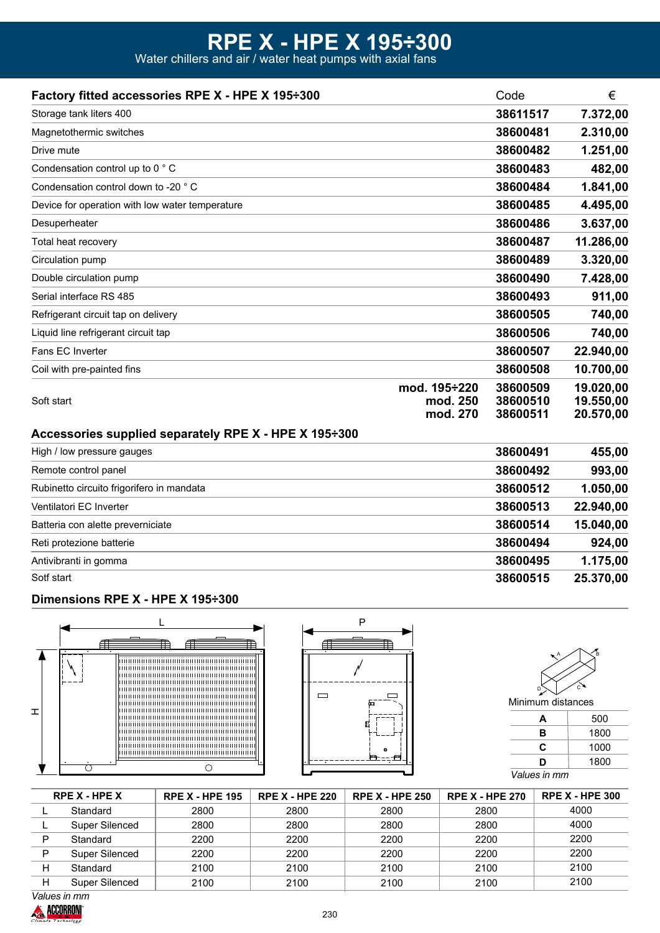## **RPE X - HPE X 195÷300**

Water chillers and air / water heat pumps with axial fans

| Factory fitted accessories RPE X - HPE X 195÷300      |                                      | Code                             | €                                   |
|-------------------------------------------------------|--------------------------------------|----------------------------------|-------------------------------------|
| Storage tank liters 400                               |                                      | 38611517                         | 7.372,00                            |
| Magnetothermic switches                               |                                      | 38600481                         | 2.310,00                            |
| Drive mute                                            |                                      | 38600482                         | 1.251,00                            |
| Condensation control up to 0 °C                       |                                      | 38600483                         | 482,00                              |
| Condensation control down to -20 ° C                  |                                      | 38600484                         | 1.841,00                            |
| Device for operation with low water temperature       |                                      | 38600485                         | 4.495,00                            |
| Desuperheater                                         |                                      | 38600486                         | 3.637,00                            |
| Total heat recovery                                   |                                      | 38600487                         | 11.286,00                           |
| Circulation pump                                      |                                      | 38600489                         | 3.320,00                            |
| Double circulation pump                               |                                      | 38600490                         | 7.428,00                            |
| Serial interface RS 485                               |                                      | 38600493                         | 911,00                              |
| Refrigerant circuit tap on delivery                   |                                      | 38600505                         | 740,00                              |
| Liquid line refrigerant circuit tap                   |                                      | 38600506                         | 740,00                              |
| Fans EC Inverter                                      |                                      | 38600507                         | 22.940,00                           |
| Coil with pre-painted fins                            |                                      | 38600508                         | 10.700,00                           |
| Soft start                                            | mod. 195÷220<br>mod. 250<br>mod. 270 | 38600509<br>38600510<br>38600511 | 19.020,00<br>19.550,00<br>20.570,00 |
| Accessories supplied separately RPE X - HPE X 195÷300 |                                      |                                  |                                     |
| High / low pressure gauges                            |                                      | 38600491                         | 455,00                              |
| Remote control panel                                  |                                      | 38600492                         | 993,00                              |
| Rubinetto circuito frigorifero in mandata             |                                      | 38600512                         | 1.050,00                            |
| Ventilatori EC Inverter                               |                                      | 38600513                         | 22.940,00                           |
| Batteria con alette preverniciate                     |                                      | 38600514                         | 15.040,00                           |
| Reti protezione batterie                              |                                      | 38600494                         | 924,00                              |
| Antivibranti in gomma                                 |                                      | 38600495                         | 1.175,00                            |

Sotf start

#### **Dimensions RPE X - HPE X 195÷300**







**38600515 25.370,00**

**A** 500

| в            | 1800 |  |  |  |  |
|--------------|------|--|--|--|--|
| С            | 1000 |  |  |  |  |
| D            | 1800 |  |  |  |  |
| Values in mm |      |  |  |  |  |

|   | <b>RPE X - HPE X</b> | <b>RPE X - HPE 195</b> | <b>RPE X - HPE 220</b> | <b>RPE X - HPE 250</b> | <b>RPE X - HPE 270</b> | <b>RPE X - HPE 300</b> |
|---|----------------------|------------------------|------------------------|------------------------|------------------------|------------------------|
|   | Standard             | 2800                   | 2800                   | 2800                   | 2800                   | 4000                   |
|   | Super Silenced       | 2800                   | 2800                   | 2800                   | 2800                   | 4000                   |
| D | Standard             | 2200                   | 2200                   | 2200                   | 2200                   | 2200                   |
| P | Super Silenced       | 2200                   | 2200                   | 2200                   | 2200                   | 2200                   |
| н | Standard             | 2100                   | 2100                   | 2100                   | 2100                   | 2100                   |
|   | Super Silenced       | 2100                   | 2100                   | 2100                   | 2100                   | 2100                   |

*Values in mm*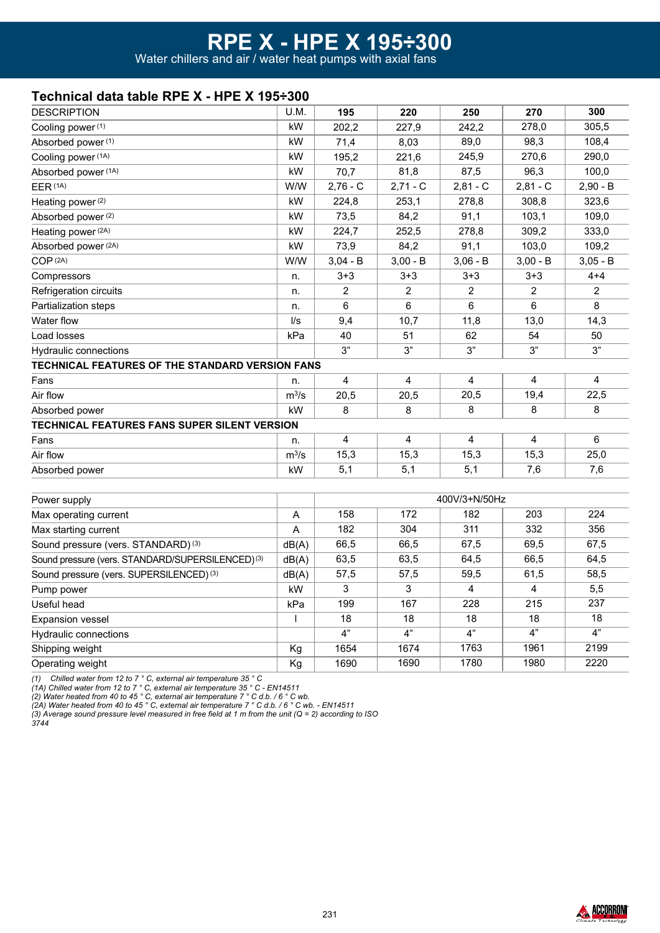## **Technical data table RPE X - HPE X 195÷300**

| <b>DESCRIPTION</b>                                     | U.M.                   | 195           | 220             | 250            | 270            | 300        |
|--------------------------------------------------------|------------------------|---------------|-----------------|----------------|----------------|------------|
| Cooling power (1)                                      | kW                     | 202,2         | 227,9           | 242,2          | 278,0          | 305,5      |
| Absorbed power (1)                                     | kW                     | 71,4          | 8,03            | 89,0           | 98,3           | 108,4      |
| Cooling power (1A)                                     | kW                     | 195,2         | 221,6           | 245,9          | 270,6          | 290,0      |
| Absorbed power (1A)                                    | kW                     | 70,7          | 81,8            | 87,5           | 96,3           | 100,0      |
| EER (1A)                                               | W/W                    | $2,76 - C$    | $2,71 - C$      | $2,81 - C$     | $2,81 - C$     | $2,90 - B$ |
| Heating power (2)                                      | kW                     | 224,8         | 253,1           | 278,8          | 308,8          | 323,6      |
| Absorbed power (2)                                     | kW                     | 73,5          | 84,2            | 91,1           | 103,1          | 109,0      |
| Heating power (2A)                                     | kW                     | 224,7         | 252,5           | 278,8          | 309,2          | 333,0      |
| Absorbed power (2A)                                    | kW                     | 73,9          | 84,2            | 91,1           | 103,0          | 109,2      |
| COP <sup>(2A)</sup>                                    | W/W                    | $3,04 - B$    | $3,00 - B$      | $3,06 - B$     | $3,00 - B$     | $3,05 - B$ |
| Compressors                                            | n.                     | $3 + 3$       | $3 + 3$         | $3 + 3$        | $3 + 3$        | $4 + 4$    |
| Refrigeration circuits                                 | n.                     | 2             | $\overline{2}$  | $\overline{2}$ | $\overline{2}$ | 2          |
| Partialization steps                                   | n.                     | 6             | 6               | 6              | 6              | 8          |
| Water flow                                             | $\mathsf{U}\mathsf{s}$ | 9,4           | 10,7            | 11,8           | 13,0           | 14,3       |
| Load losses                                            | kPa                    | 40            | 51              | 62             | 54             | 50         |
| Hydraulic connections                                  |                        | 3"            | 3"              | 3"             | 3"             | 3"         |
| <b>TECHNICAL FEATURES OF THE STANDARD VERSION FANS</b> |                        |               |                 |                |                |            |
| Fans                                                   | n.                     | 4             | 4               | 4              | 4              | 4          |
| Air flow                                               | $m^3/s$                | 20,5          | 20,5            | 20,5           | 19,4           | 22,5       |
| Absorbed power                                         | kW                     | 8             | 8               | 8              | 8              | 8          |
| TECHNICAL FEATURES FANS SUPER SILENT VERSION           |                        |               |                 |                |                |            |
| Fans                                                   | n.                     | 4             | 4               | 4              | 4              | 6          |
| Air flow                                               | $m^3/s$                | 15,3          | 15,3            | 15,3           | 15,3           | 25,0       |
| Absorbed power                                         | kW                     | 5,1           | 5,1             | 5,1            | 7,6            | 7,6        |
|                                                        |                        |               |                 |                |                |            |
| Power supply                                           |                        | 400V/3+N/50Hz |                 |                |                |            |
| Max operating current                                  | A                      | 158           | 172             | 182            | 203            | 224        |
| Max starting current                                   | A                      | 182           | 304             | 311            | 332            | 356        |
| Sound pressure (vers. STANDARD) (3)                    | dB(A)                  | 66,5          | 66,5            | 67,5           | 69,5           | 67,5       |
| Sound pressure (vers. STANDARD/SUPERSILENCED) (3)      | dB(A)                  | 63,5          | 63,5            | 64,5           | 66,5           | 64,5       |
| Sound pressure (vers. SUPERSILENCED) <sup>(3)</sup>    | dB(A)                  | 57,5          | 57,5            | 59,5           | 61,5           | 58,5       |
| Pump power                                             | kW                     | 3             | 3               | 4              | 4              | 5,5        |
| Useful head                                            | kPa                    | 199           | 167             | 228            | 215            | 237        |
| <b>Expansion vessel</b>                                | $\mathsf{I}$           | 18            | 18              | 18             | 18             | 18         |
| Hydraulic connections                                  |                        | 4"            | $\overline{4"}$ | 4"             | 4"             | 4"         |
| Shipping weight                                        | Kg                     | 1654          | 1674            | 1763           | 1961           | 2199       |

Operating weight

*(1) Chilled water from 12 to 7 ° C, external air temperature 35 ° C*

*(1A) Chilled water from 12 to 7 ° C, external air temperature 35 ° C - EN14511*

*(2) Water heated from 40 to 45 ° C, external air temperature 7 ° C d.b. / 6 ° C wb.*

*(2A) Water heated from 40 to 45 ° C, external air temperature 7 ° C d.b. / 6 ° C wb. - EN14511 (3) Average sound pressure level measured in free field at 1 m from the unit (Q = 2) according to ISO* 

*3744*



2220

1690

Kg

1690

1780

1980